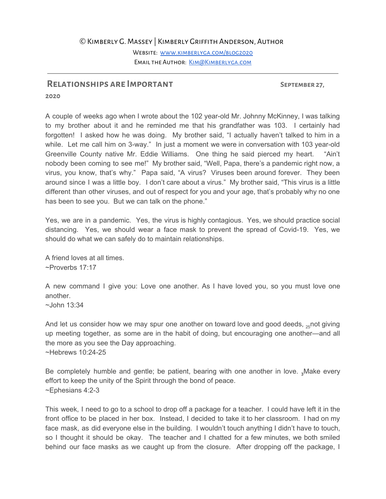## ©Kimberly G. Massey | Kimberly Griffith Anderson, Author

WEBSITE: WWW.KIMBERLYGA.COM/BLOG2020 EMAIL THE AUTHOR: KIM@KIMBERLYGA.COM

## **Relationships are Important September 27,**

**2020**

A couple of weeks ago when I wrote about the 102 year-old Mr. Johnny McKinney, I was talking to my brother about it and he reminded me that his grandfather was 103. I certainly had forgotten! I asked how he was doing. My brother said, "I actually haven't talked to him in a while. Let me call him on 3-way." In just a moment we were in conversation with 103 year-old Greenville County native Mr. Eddie Williams. One thing he said pierced my heart. "Ain't nobody been coming to see me!" My brother said, "Well, Papa, there's a pandemic right now, a virus, you know, that's why." Papa said, "A virus? Viruses been around forever. They been around since I was a little boy. I don't care about a virus." My brother said, "This virus is a little different than other viruses, and out of respect for you and your age, that's probably why no one has been to see you. But we can talk on the phone."

Yes, we are in a pandemic. Yes, the virus is highly contagious. Yes, we should practice social distancing. Yes, we should wear a face mask to prevent the spread of Covid-19. Yes, we should do what we can safely do to maintain relationships.

A friend loves at all times. ~Proverbs 17:17

A new command I give you: Love one another. As I have loved you, so you must love one another.

 $\sim$ John 13:34

And let us consider how we may spur one another on toward love and good deeds,  $_{25}$ not giving up meeting together, as some are in the habit of doing, but encouraging one another—and all the more as you see the Day approaching. ~Hebrews 10:24-25

Be completely humble and gentle; be patient, bearing with one another in love. **<sup>3</sup>**Make every effort to keep the unity of the Spirit through the bond of peace. ~Ephesians 4:2-3

This week, I need to go to a school to drop off a package for a teacher. I could have left it in the front office to be placed in her box. Instead, I decided to take it to her classroom. I had on my face mask, as did everyone else in the building. I wouldn't touch anything I didn't have to touch, so I thought it should be okay. The teacher and I chatted for a few minutes, we both smiled behind our face masks as we caught up from the closure. After dropping off the package, I